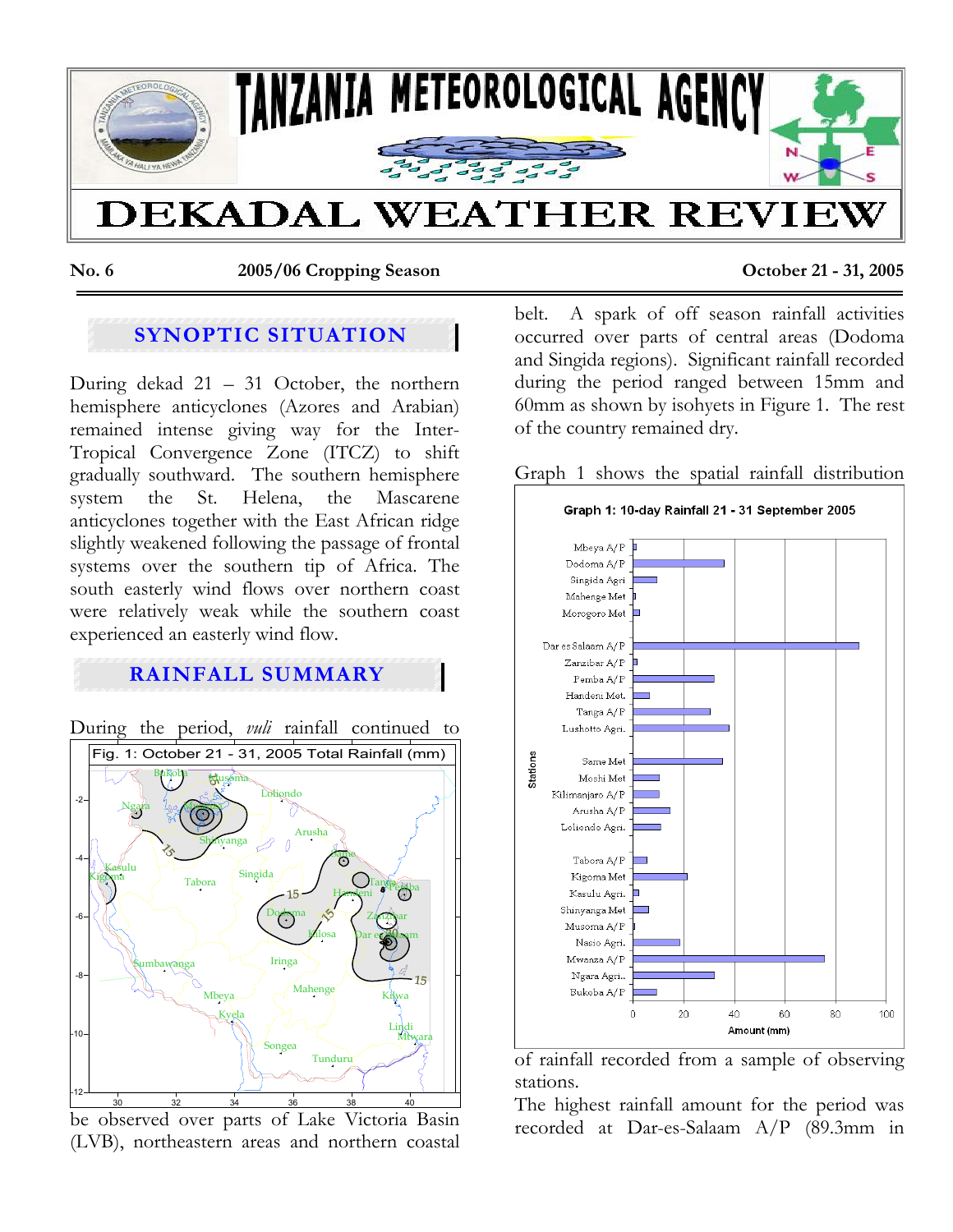

**No. 6 2005/06 Cropping Season October 21 - 31, 2005** 

# **SYNOPTIC SITUATION**

During dekad 21 – 31 October, the northern hemisphere anticyclones (Azores and Arabian) remained intense giving way for the Inter-Tropical Convergence Zone (ITCZ) to shift gradually southward. The southern hemisphere system the St. Helena, the Mascarene anticyclones together with the East African ridge slightly weakened following the passage of frontal systems over the southern tip of Africa. The south easterly wind flows over northern coast were relatively weak while the southern coast experienced an easterly wind flow.

## **RAINFALL SUMMARY**

During the period, *vuli* rainfall continued to 30 32 34 36 38 40 -12 -10 -8 -6 -4 -2 Bukoba Mwanza Shinyanga Musoma Arusha Same Maheng Tan**ga Pemba** Zan*zi*bar Dar es Salaam Mtwara Dodoma Tabora Iringa Mbeya Sumbawanga Songea Kigoma > Tabana Singida Handeni Lindi Tunduru<sup>1</sup> Ngara Lolisando Kasulu Kyela Kilosa Kilwa Fig. 1: October 21 - 31, 2005 Total Rainfall (mm)

be observed over parts of Lake Victoria Basin (LVB), northeastern areas and northern coastal

belt. A spark of off season rainfall activities occurred over parts of central areas (Dodoma and Singida regions). Significant rainfall recorded during the period ranged between 15mm and 60mm as shown by isohyets in Figure 1. The rest of the country remained dry.

Graph 1 shows the spatial rainfall distribution



of rainfall recorded from a sample of observing stations.

The highest rainfall amount for the period was recorded at Dar-es-Salaam A/P (89.3mm in